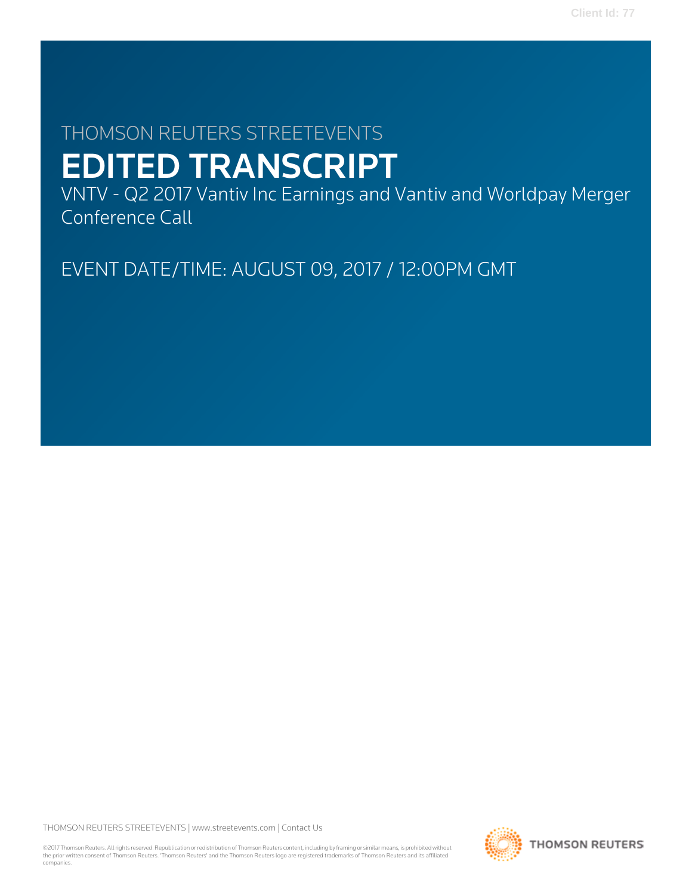# THOMSON REUTERS STREETEVENTS EDITED TRANSCRIPT

VNTV - Q2 2017 Vantiv Inc Earnings and Vantiv and Worldpay Merger Conference Call

EVENT DATE/TIME: AUGUST 09, 2017 / 12:00PM GMT

THOMSON REUTERS STREETEVENTS | [www.streetevents.com](http://www.streetevents.com) | [Contact Us](http://www010.streetevents.com/contact.asp)

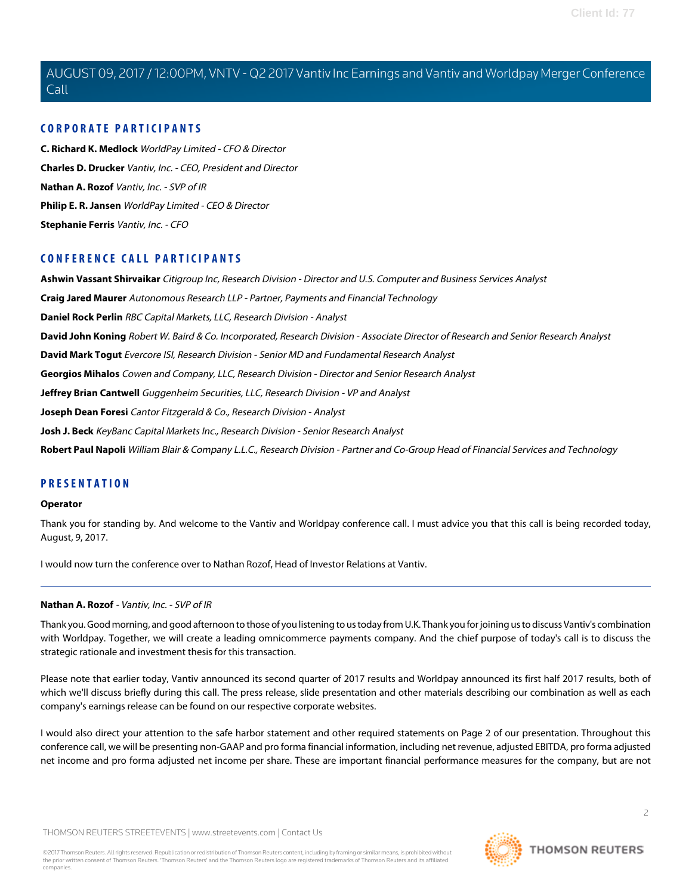# **CORPORATE PARTICIPANTS**

**[C. Richard K. Medlock](#page-5-0)** WorldPay Limited - CFO & Director **[Charles D. Drucker](#page-2-0)** Vantiv, Inc. - CEO, President and Director **[Nathan A. Rozof](#page-1-0)** Vantiv, Inc. - SVP of IR **[Philip E. R. Jansen](#page-3-0)** WorldPay Limited - CEO & Director **[Stephanie Ferris](#page-4-0)** Vantiv, Inc. - CFO

# **CONFERENCE CALL PARTICIPANTS**

**[Ashwin Vassant Shirvaikar](#page-8-0)** Citigroup Inc, Research Division - Director and U.S. Computer and Business Services Analyst **[Craig Jared Maurer](#page-11-0)** Autonomous Research LLP - Partner, Payments and Financial Technology **[Daniel Rock Perlin](#page-12-0)** RBC Capital Markets, LLC, Research Division - Analyst **[David John Koning](#page-6-0)** Robert W. Baird & Co. Incorporated, Research Division - Associate Director of Research and Senior Research Analyst **[David Mark Togut](#page-17-0)** Evercore ISI, Research Division - Senior MD and Fundamental Research Analyst **[Georgios Mihalos](#page-9-0)** Cowen and Company, LLC, Research Division - Director and Senior Research Analyst **[Jeffrey Brian Cantwell](#page-10-0)** Guggenheim Securities, LLC, Research Division - VP and Analyst **[Joseph Dean Foresi](#page-14-0)** Cantor Fitzgerald & Co., Research Division - Analyst **[Josh J. Beck](#page-7-0)** KeyBanc Capital Markets Inc., Research Division - Senior Research Analyst **[Robert Paul Napoli](#page-16-0)** William Blair & Company L.L.C., Research Division - Partner and Co-Group Head of Financial Services and Technology

# **PRESENTATION**

#### **Operator**

Thank you for standing by. And welcome to the Vantiv and Worldpay conference call. I must advice you that this call is being recorded today, August, 9, 2017.

<span id="page-1-0"></span>I would now turn the conference over to Nathan Rozof, Head of Investor Relations at Vantiv.

# **Nathan A. Rozof** - Vantiv, Inc. - SVP of IR

Thank you. Good morning, and good afternoon to those of you listening to us today from U.K. Thank you for joining us to discuss Vantiv's combination with Worldpay. Together, we will create a leading omnicommerce payments company. And the chief purpose of today's call is to discuss the strategic rationale and investment thesis for this transaction.

Please note that earlier today, Vantiv announced its second quarter of 2017 results and Worldpay announced its first half 2017 results, both of which we'll discuss briefly during this call. The press release, slide presentation and other materials describing our combination as well as each company's earnings release can be found on our respective corporate websites.

I would also direct your attention to the safe harbor statement and other required statements on Page 2 of our presentation. Throughout this conference call, we will be presenting non-GAAP and pro forma financial information, including net revenue, adjusted EBITDA, pro forma adjusted net income and pro forma adjusted net income per share. These are important financial performance measures for the company, but are not

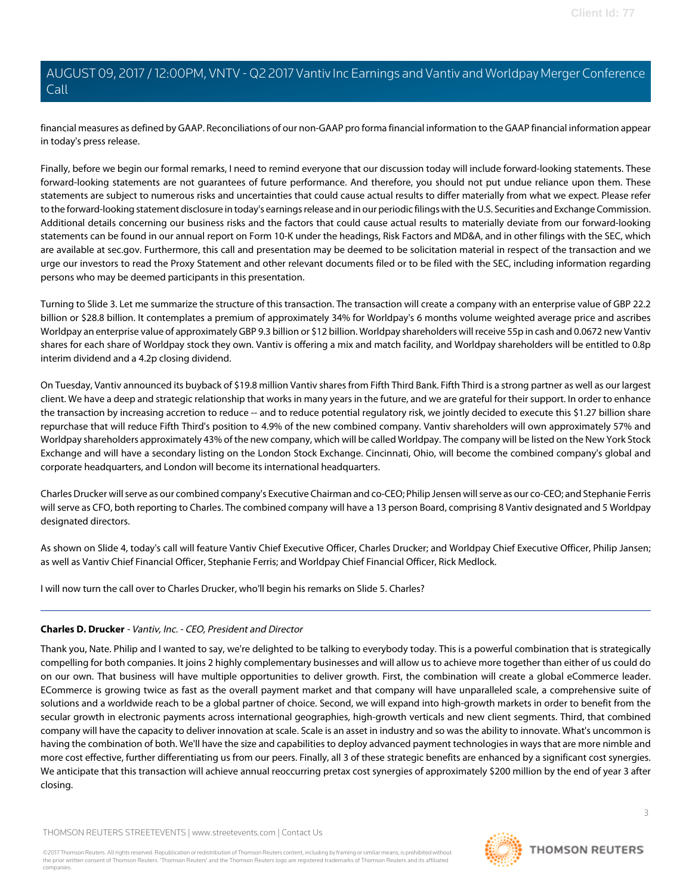financial measures as defined by GAAP. Reconciliations of our non-GAAP pro forma financial information to the GAAP financial information appear in today's press release.

Finally, before we begin our formal remarks, I need to remind everyone that our discussion today will include forward-looking statements. These forward-looking statements are not guarantees of future performance. And therefore, you should not put undue reliance upon them. These statements are subject to numerous risks and uncertainties that could cause actual results to differ materially from what we expect. Please refer to the forward-looking statement disclosure in today's earnings release and in our periodic filings with the U.S. Securities and Exchange Commission. Additional details concerning our business risks and the factors that could cause actual results to materially deviate from our forward-looking statements can be found in our annual report on Form 10-K under the headings, Risk Factors and MD&A, and in other filings with the SEC, which are available at sec.gov. Furthermore, this call and presentation may be deemed to be solicitation material in respect of the transaction and we urge our investors to read the Proxy Statement and other relevant documents filed or to be filed with the SEC, including information regarding persons who may be deemed participants in this presentation.

Turning to Slide 3. Let me summarize the structure of this transaction. The transaction will create a company with an enterprise value of GBP 22.2 billion or \$28.8 billion. It contemplates a premium of approximately 34% for Worldpay's 6 months volume weighted average price and ascribes Worldpay an enterprise value of approximately GBP 9.3 billion or \$12 billion. Worldpay shareholders will receive 55p in cash and 0.0672 new Vantiv shares for each share of Worldpay stock they own. Vantiv is offering a mix and match facility, and Worldpay shareholders will be entitled to 0.8p interim dividend and a 4.2p closing dividend.

On Tuesday, Vantiv announced its buyback of \$19.8 million Vantiv shares from Fifth Third Bank. Fifth Third is a strong partner as well as our largest client. We have a deep and strategic relationship that works in many years in the future, and we are grateful for their support. In order to enhance the transaction by increasing accretion to reduce -- and to reduce potential regulatory risk, we jointly decided to execute this \$1.27 billion share repurchase that will reduce Fifth Third's position to 4.9% of the new combined company. Vantiv shareholders will own approximately 57% and Worldpay shareholders approximately 43% of the new company, which will be called Worldpay. The company will be listed on the New York Stock Exchange and will have a secondary listing on the London Stock Exchange. Cincinnati, Ohio, will become the combined company's global and corporate headquarters, and London will become its international headquarters.

Charles Drucker will serve as our combined company's Executive Chairman and co-CEO; Philip Jensen will serve as our co-CEO; and Stephanie Ferris will serve as CFO, both reporting to Charles. The combined company will have a 13 person Board, comprising 8 Vantiv designated and 5 Worldpay designated directors.

<span id="page-2-0"></span>As shown on Slide 4, today's call will feature Vantiv Chief Executive Officer, Charles Drucker; and Worldpay Chief Executive Officer, Philip Jansen; as well as Vantiv Chief Financial Officer, Stephanie Ferris; and Worldpay Chief Financial Officer, Rick Medlock.

I will now turn the call over to Charles Drucker, who'll begin his remarks on Slide 5. Charles?

# **Charles D. Drucker** - Vantiv, Inc. - CEO, President and Director

Thank you, Nate. Philip and I wanted to say, we're delighted to be talking to everybody today. This is a powerful combination that is strategically compelling for both companies. It joins 2 highly complementary businesses and will allow us to achieve more together than either of us could do on our own. That business will have multiple opportunities to deliver growth. First, the combination will create a global eCommerce leader. ECommerce is growing twice as fast as the overall payment market and that company will have unparalleled scale, a comprehensive suite of solutions and a worldwide reach to be a global partner of choice. Second, we will expand into high-growth markets in order to benefit from the secular growth in electronic payments across international geographies, high-growth verticals and new client segments. Third, that combined company will have the capacity to deliver innovation at scale. Scale is an asset in industry and so was the ability to innovate. What's uncommon is having the combination of both. We'll have the size and capabilities to deploy advanced payment technologies in ways that are more nimble and more cost effective, further differentiating us from our peers. Finally, all 3 of these strategic benefits are enhanced by a significant cost synergies. We anticipate that this transaction will achieve annual reoccurring pretax cost synergies of approximately \$200 million by the end of year 3 after closing.

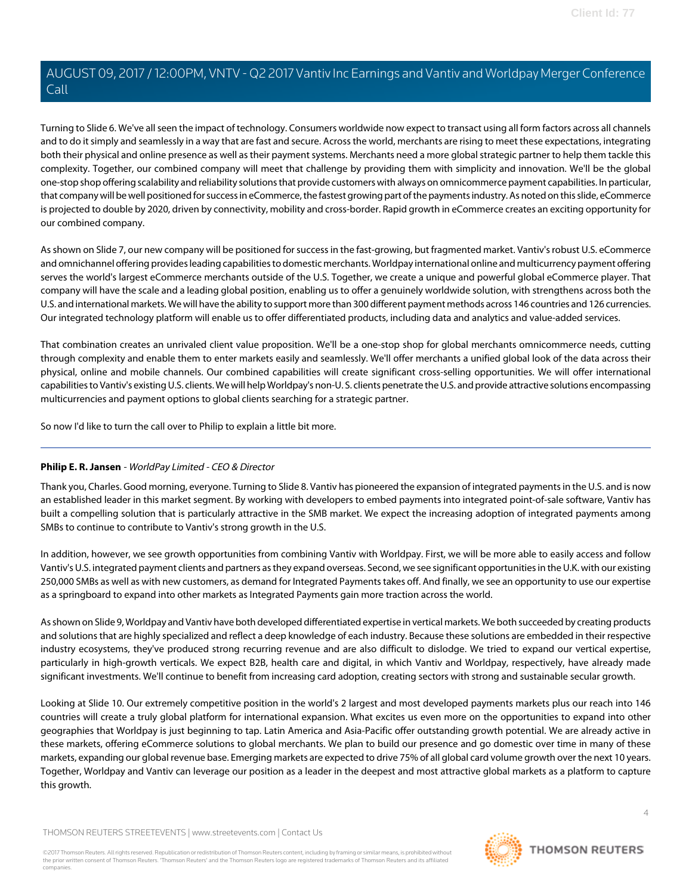Turning to Slide 6. We've all seen the impact of technology. Consumers worldwide now expect to transact using all form factors across all channels and to do it simply and seamlessly in a way that are fast and secure. Across the world, merchants are rising to meet these expectations, integrating both their physical and online presence as well as their payment systems. Merchants need a more global strategic partner to help them tackle this complexity. Together, our combined company will meet that challenge by providing them with simplicity and innovation. We'll be the global one-stop shop offering scalability and reliability solutions that provide customers with always on omnicommerce payment capabilities. In particular, that company will be well positioned for success in eCommerce, the fastest growing part of the payments industry. As noted on this slide, eCommerce is projected to double by 2020, driven by connectivity, mobility and cross-border. Rapid growth in eCommerce creates an exciting opportunity for our combined company.

As shown on Slide 7, our new company will be positioned for success in the fast-growing, but fragmented market. Vantiv's robust U.S. eCommerce and omnichannel offering provides leading capabilities to domestic merchants. Worldpay international online and multicurrency payment offering serves the world's largest eCommerce merchants outside of the U.S. Together, we create a unique and powerful global eCommerce player. That company will have the scale and a leading global position, enabling us to offer a genuinely worldwide solution, with strengthens across both the U.S. and international markets. We will have the ability to support more than 300 different payment methods across 146 countries and 126 currencies. Our integrated technology platform will enable us to offer differentiated products, including data and analytics and value-added services.

That combination creates an unrivaled client value proposition. We'll be a one-stop shop for global merchants omnicommerce needs, cutting through complexity and enable them to enter markets easily and seamlessly. We'll offer merchants a unified global look of the data across their physical, online and mobile channels. Our combined capabilities will create significant cross-selling opportunities. We will offer international capabilities to Vantiv's existing U.S. clients. We will help Worldpay's non-U. S. clients penetrate the U.S. and provide attractive solutions encompassing multicurrencies and payment options to global clients searching for a strategic partner.

<span id="page-3-0"></span>So now I'd like to turn the call over to Philip to explain a little bit more.

# **Philip E. R. Jansen** - WorldPay Limited - CEO & Director

Thank you, Charles. Good morning, everyone. Turning to Slide 8. Vantiv has pioneered the expansion of integrated payments in the U.S. and is now an established leader in this market segment. By working with developers to embed payments into integrated point-of-sale software, Vantiv has built a compelling solution that is particularly attractive in the SMB market. We expect the increasing adoption of integrated payments among SMBs to continue to contribute to Vantiv's strong growth in the U.S.

In addition, however, we see growth opportunities from combining Vantiv with Worldpay. First, we will be more able to easily access and follow Vantiv's U.S. integrated payment clients and partners as they expand overseas. Second, we see significant opportunities in the U.K. with our existing 250,000 SMBs as well as with new customers, as demand for Integrated Payments takes off. And finally, we see an opportunity to use our expertise as a springboard to expand into other markets as Integrated Payments gain more traction across the world.

As shown on Slide 9, Worldpay and Vantiv have both developed differentiated expertise in vertical markets. We both succeeded by creating products and solutions that are highly specialized and reflect a deep knowledge of each industry. Because these solutions are embedded in their respective industry ecosystems, they've produced strong recurring revenue and are also difficult to dislodge. We tried to expand our vertical expertise, particularly in high-growth verticals. We expect B2B, health care and digital, in which Vantiv and Worldpay, respectively, have already made significant investments. We'll continue to benefit from increasing card adoption, creating sectors with strong and sustainable secular growth.

Looking at Slide 10. Our extremely competitive position in the world's 2 largest and most developed payments markets plus our reach into 146 countries will create a truly global platform for international expansion. What excites us even more on the opportunities to expand into other geographies that Worldpay is just beginning to tap. Latin America and Asia-Pacific offer outstanding growth potential. We are already active in these markets, offering eCommerce solutions to global merchants. We plan to build our presence and go domestic over time in many of these markets, expanding our global revenue base. Emerging markets are expected to drive 75% of all global card volume growth over the next 10 years. Together, Worldpay and Vantiv can leverage our position as a leader in the deepest and most attractive global markets as a platform to capture this growth.

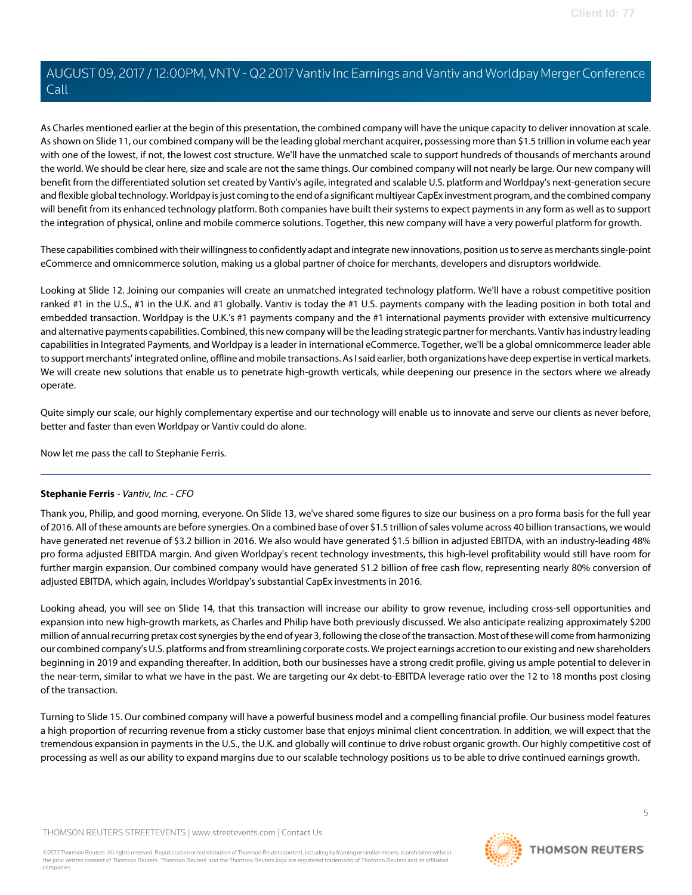As Charles mentioned earlier at the begin of this presentation, the combined company will have the unique capacity to deliver innovation at scale. As shown on Slide 11, our combined company will be the leading global merchant acquirer, possessing more than \$1.5 trillion in volume each year with one of the lowest, if not, the lowest cost structure. We'll have the unmatched scale to support hundreds of thousands of merchants around the world. We should be clear here, size and scale are not the same things. Our combined company will not nearly be large. Our new company will benefit from the differentiated solution set created by Vantiv's agile, integrated and scalable U.S. platform and Worldpay's next-generation secure and flexible global technology. Worldpay is just coming to the end of a significant multiyear CapEx investment program, and the combined company will benefit from its enhanced technology platform. Both companies have built their systems to expect payments in any form as well as to support the integration of physical, online and mobile commerce solutions. Together, this new company will have a very powerful platform for growth.

These capabilities combined with their willingness to confidently adapt and integrate new innovations, position us to serve as merchants single-point eCommerce and omnicommerce solution, making us a global partner of choice for merchants, developers and disruptors worldwide.

Looking at Slide 12. Joining our companies will create an unmatched integrated technology platform. We'll have a robust competitive position ranked #1 in the U.S., #1 in the U.K. and #1 globally. Vantiv is today the #1 U.S. payments company with the leading position in both total and embedded transaction. Worldpay is the U.K.'s #1 payments company and the #1 international payments provider with extensive multicurrency and alternative payments capabilities. Combined, this new company will be the leading strategic partner for merchants. Vantiv has industry leading capabilities in Integrated Payments, and Worldpay is a leader in international eCommerce. Together, we'll be a global omnicommerce leader able to support merchants' integrated online, offline and mobile transactions. As I said earlier, both organizations have deep expertise in vertical markets. We will create new solutions that enable us to penetrate high-growth verticals, while deepening our presence in the sectors where we already operate.

Quite simply our scale, our highly complementary expertise and our technology will enable us to innovate and serve our clients as never before, better and faster than even Worldpay or Vantiv could do alone.

<span id="page-4-0"></span>Now let me pass the call to Stephanie Ferris.

# **Stephanie Ferris** - Vantiv, Inc. - CFO

Thank you, Philip, and good morning, everyone. On Slide 13, we've shared some figures to size our business on a pro forma basis for the full year of 2016. All of these amounts are before synergies. On a combined base of over \$1.5 trillion of sales volume across 40 billion transactions, we would have generated net revenue of \$3.2 billion in 2016. We also would have generated \$1.5 billion in adjusted EBITDA, with an industry-leading 48% pro forma adjusted EBITDA margin. And given Worldpay's recent technology investments, this high-level profitability would still have room for further margin expansion. Our combined company would have generated \$1.2 billion of free cash flow, representing nearly 80% conversion of adjusted EBITDA, which again, includes Worldpay's substantial CapEx investments in 2016.

Looking ahead, you will see on Slide 14, that this transaction will increase our ability to grow revenue, including cross-sell opportunities and expansion into new high-growth markets, as Charles and Philip have both previously discussed. We also anticipate realizing approximately \$200 million of annual recurring pretax cost synergies by the end of year 3, following the close of the transaction. Most of these will come from harmonizing our combined company's U.S. platforms and from streamlining corporate costs. We project earnings accretion to our existing and new shareholders beginning in 2019 and expanding thereafter. In addition, both our businesses have a strong credit profile, giving us ample potential to delever in the near-term, similar to what we have in the past. We are targeting our 4x debt-to-EBITDA leverage ratio over the 12 to 18 months post closing of the transaction.

Turning to Slide 15. Our combined company will have a powerful business model and a compelling financial profile. Our business model features a high proportion of recurring revenue from a sticky customer base that enjoys minimal client concentration. In addition, we will expect that the tremendous expansion in payments in the U.S., the U.K. and globally will continue to drive robust organic growth. Our highly competitive cost of processing as well as our ability to expand margins due to our scalable technology positions us to be able to drive continued earnings growth.

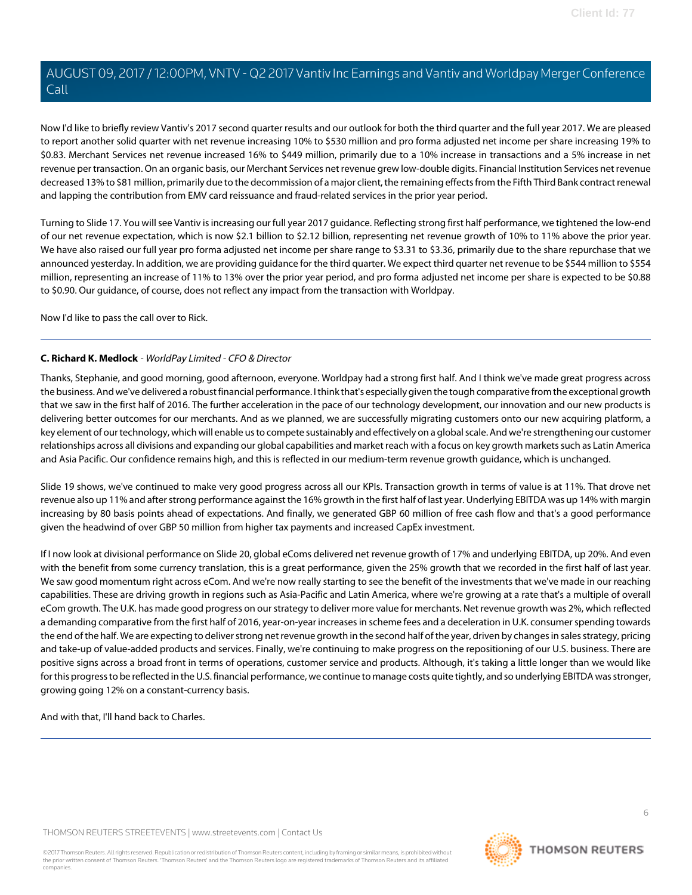Now I'd like to briefly review Vantiv's 2017 second quarter results and our outlook for both the third quarter and the full year 2017. We are pleased to report another solid quarter with net revenue increasing 10% to \$530 million and pro forma adjusted net income per share increasing 19% to \$0.83. Merchant Services net revenue increased 16% to \$449 million, primarily due to a 10% increase in transactions and a 5% increase in net revenue per transaction. On an organic basis, our Merchant Services net revenue grew low-double digits. Financial Institution Services net revenue decreased 13% to \$81 million, primarily due to the decommission of a major client, the remaining effects from the Fifth Third Bank contract renewal and lapping the contribution from EMV card reissuance and fraud-related services in the prior year period.

Turning to Slide 17. You will see Vantiv is increasing our full year 2017 guidance. Reflecting strong first half performance, we tightened the low-end of our net revenue expectation, which is now \$2.1 billion to \$2.12 billion, representing net revenue growth of 10% to 11% above the prior year. We have also raised our full year pro forma adjusted net income per share range to \$3.31 to \$3.36, primarily due to the share repurchase that we announced yesterday. In addition, we are providing guidance for the third quarter. We expect third quarter net revenue to be \$544 million to \$554 million, representing an increase of 11% to 13% over the prior year period, and pro forma adjusted net income per share is expected to be \$0.88 to \$0.90. Our guidance, of course, does not reflect any impact from the transaction with Worldpay.

<span id="page-5-0"></span>Now I'd like to pass the call over to Rick.

# **C. Richard K. Medlock** - WorldPay Limited - CFO & Director

Thanks, Stephanie, and good morning, good afternoon, everyone. Worldpay had a strong first half. And I think we've made great progress across the business. And we've delivered a robust financial performance. I think that's especially given the tough comparative from the exceptional growth that we saw in the first half of 2016. The further acceleration in the pace of our technology development, our innovation and our new products is delivering better outcomes for our merchants. And as we planned, we are successfully migrating customers onto our new acquiring platform, a key element of our technology, which will enable us to compete sustainably and effectively on a global scale. And we're strengthening our customer relationships across all divisions and expanding our global capabilities and market reach with a focus on key growth markets such as Latin America and Asia Pacific. Our confidence remains high, and this is reflected in our medium-term revenue growth guidance, which is unchanged.

Slide 19 shows, we've continued to make very good progress across all our KPIs. Transaction growth in terms of value is at 11%. That drove net revenue also up 11% and after strong performance against the 16% growth in the first half of last year. Underlying EBITDA was up 14% with margin increasing by 80 basis points ahead of expectations. And finally, we generated GBP 60 million of free cash flow and that's a good performance given the headwind of over GBP 50 million from higher tax payments and increased CapEx investment.

If I now look at divisional performance on Slide 20, global eComs delivered net revenue growth of 17% and underlying EBITDA, up 20%. And even with the benefit from some currency translation, this is a great performance, given the 25% growth that we recorded in the first half of last year. We saw good momentum right across eCom. And we're now really starting to see the benefit of the investments that we've made in our reaching capabilities. These are driving growth in regions such as Asia-Pacific and Latin America, where we're growing at a rate that's a multiple of overall eCom growth. The U.K. has made good progress on our strategy to deliver more value for merchants. Net revenue growth was 2%, which reflected a demanding comparative from the first half of 2016, year-on-year increases in scheme fees and a deceleration in U.K. consumer spending towards the end of the half. We are expecting to deliver strong net revenue growth in the second half of the year, driven by changes in sales strategy, pricing and take-up of value-added products and services. Finally, we're continuing to make progress on the repositioning of our U.S. business. There are positive signs across a broad front in terms of operations, customer service and products. Although, it's taking a little longer than we would like for this progress to be reflected in the U.S. financial performance, we continue to manage costs quite tightly, and so underlying EBITDA was stronger, growing going 12% on a constant-currency basis.

And with that, I'll hand back to Charles.

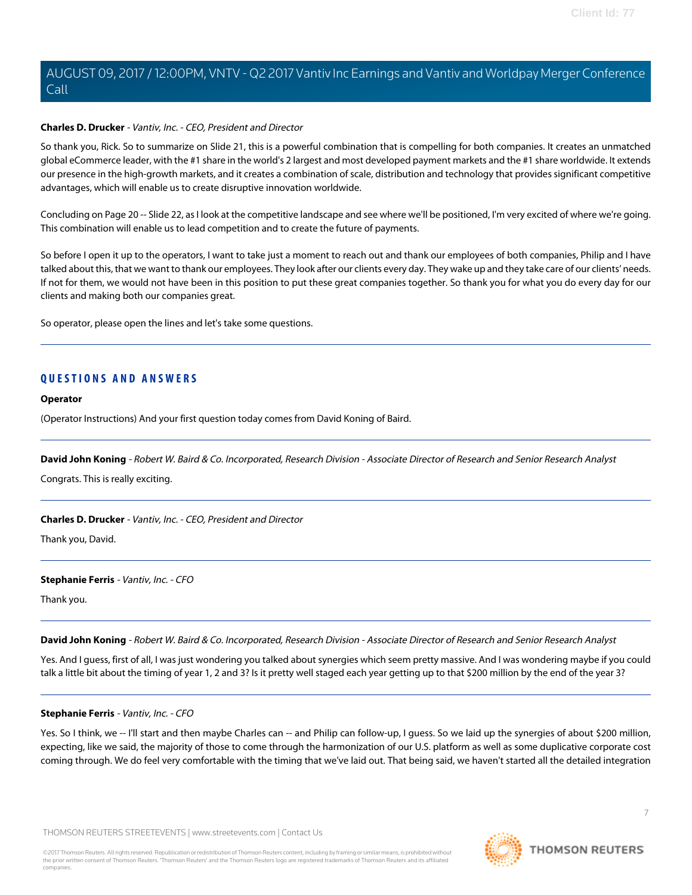#### **Charles D. Drucker** - Vantiv, Inc. - CEO, President and Director

So thank you, Rick. So to summarize on Slide 21, this is a powerful combination that is compelling for both companies. It creates an unmatched global eCommerce leader, with the #1 share in the world's 2 largest and most developed payment markets and the #1 share worldwide. It extends our presence in the high-growth markets, and it creates a combination of scale, distribution and technology that provides significant competitive advantages, which will enable us to create disruptive innovation worldwide.

Concluding on Page 20 -- Slide 22, as I look at the competitive landscape and see where we'll be positioned, I'm very excited of where we're going. This combination will enable us to lead competition and to create the future of payments.

So before I open it up to the operators, I want to take just a moment to reach out and thank our employees of both companies, Philip and I have talked about this, that we want to thank our employees. They look after our clients every day. They wake up and they take care of our clients' needs. If not for them, we would not have been in this position to put these great companies together. So thank you for what you do every day for our clients and making both our companies great.

So operator, please open the lines and let's take some questions.

# **QUESTIONS AND ANSWERS**

#### **Operator**

<span id="page-6-0"></span>(Operator Instructions) And your first question today comes from David Koning of Baird.

**David John Koning** - Robert W. Baird & Co. Incorporated, Research Division - Associate Director of Research and Senior Research Analyst

Congrats. This is really exciting.

# **Charles D. Drucker** - Vantiv, Inc. - CEO, President and Director

Thank you, David.

# **Stephanie Ferris** - Vantiv, Inc. - CFO

Thank you.

**David John Koning** - Robert W. Baird & Co. Incorporated, Research Division - Associate Director of Research and Senior Research Analyst

Yes. And I guess, first of all, I was just wondering you talked about synergies which seem pretty massive. And I was wondering maybe if you could talk a little bit about the timing of year 1, 2 and 3? Is it pretty well staged each year getting up to that \$200 million by the end of the year 3?

# **Stephanie Ferris** - Vantiv, Inc. - CFO

Yes. So I think, we -- I'll start and then maybe Charles can -- and Philip can follow-up, I guess. So we laid up the synergies of about \$200 million, expecting, like we said, the majority of those to come through the harmonization of our U.S. platform as well as some duplicative corporate cost coming through. We do feel very comfortable with the timing that we've laid out. That being said, we haven't started all the detailed integration

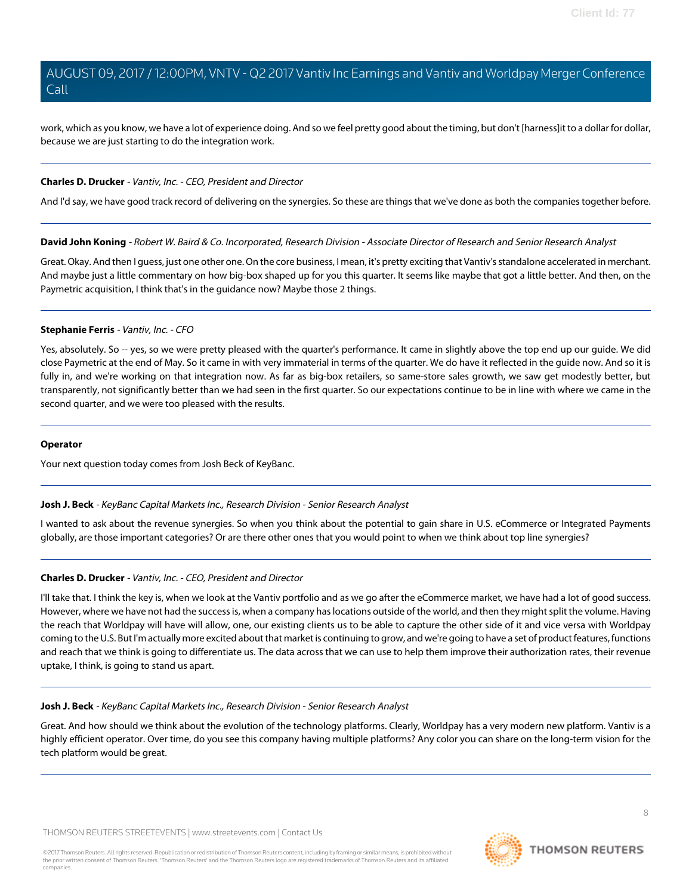work, which as you know, we have a lot of experience doing. And so we feel pretty good about the timing, but don't [harness]it to a dollar for dollar, because we are just starting to do the integration work.

# **Charles D. Drucker** - Vantiv, Inc. - CEO, President and Director

And I'd say, we have good track record of delivering on the synergies. So these are things that we've done as both the companies together before.

**David John Koning** - Robert W. Baird & Co. Incorporated, Research Division - Associate Director of Research and Senior Research Analyst

Great. Okay. And then I guess, just one other one. On the core business, I mean, it's pretty exciting that Vantiv's standalone accelerated in merchant. And maybe just a little commentary on how big-box shaped up for you this quarter. It seems like maybe that got a little better. And then, on the Paymetric acquisition, I think that's in the guidance now? Maybe those 2 things.

# **Stephanie Ferris** - Vantiv, Inc. - CFO

Yes, absolutely. So -- yes, so we were pretty pleased with the quarter's performance. It came in slightly above the top end up our guide. We did close Paymetric at the end of May. So it came in with very immaterial in terms of the quarter. We do have it reflected in the guide now. And so it is fully in, and we're working on that integration now. As far as big-box retailers, so same-store sales growth, we saw get modestly better, but transparently, not significantly better than we had seen in the first quarter. So our expectations continue to be in line with where we came in the second quarter, and we were too pleased with the results.

#### <span id="page-7-0"></span>**Operator**

Your next question today comes from Josh Beck of KeyBanc.

# **Josh J. Beck** - KeyBanc Capital Markets Inc., Research Division - Senior Research Analyst

I wanted to ask about the revenue synergies. So when you think about the potential to gain share in U.S. eCommerce or Integrated Payments globally, are those important categories? Or are there other ones that you would point to when we think about top line synergies?

# **Charles D. Drucker** - Vantiv, Inc. - CEO, President and Director

I'll take that. I think the key is, when we look at the Vantiv portfolio and as we go after the eCommerce market, we have had a lot of good success. However, where we have not had the success is, when a company has locations outside of the world, and then they might split the volume. Having the reach that Worldpay will have will allow, one, our existing clients us to be able to capture the other side of it and vice versa with Worldpay coming to the U.S. But I'm actually more excited about that market is continuing to grow, and we're going to have a set of product features, functions and reach that we think is going to differentiate us. The data across that we can use to help them improve their authorization rates, their revenue uptake, I think, is going to stand us apart.

# **Josh J. Beck** - KeyBanc Capital Markets Inc., Research Division - Senior Research Analyst

Great. And how should we think about the evolution of the technology platforms. Clearly, Worldpay has a very modern new platform. Vantiv is a highly efficient operator. Over time, do you see this company having multiple platforms? Any color you can share on the long-term vision for the tech platform would be great.

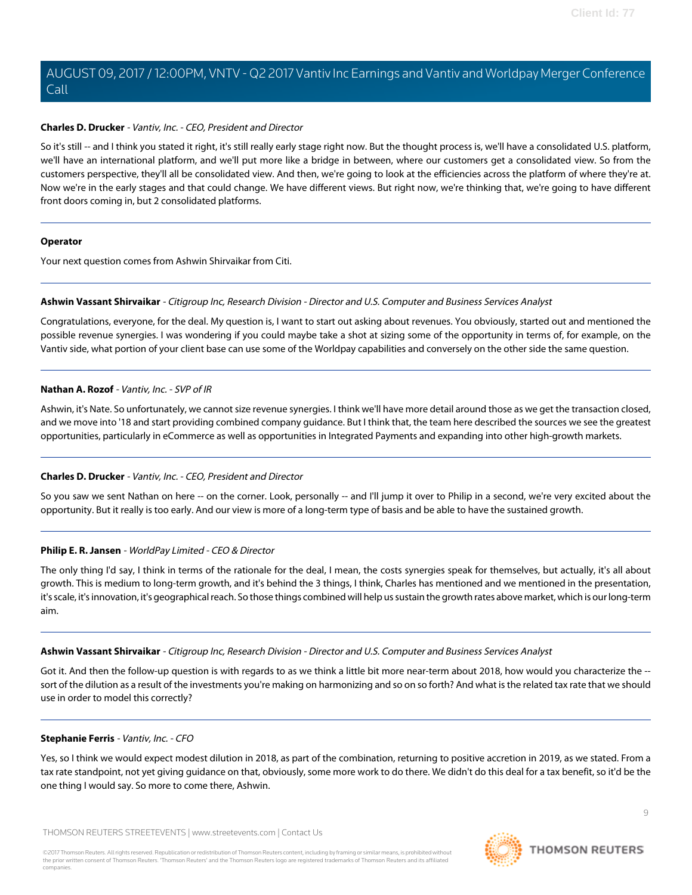# **Charles D. Drucker** - Vantiv, Inc. - CEO, President and Director

So it's still -- and I think you stated it right, it's still really early stage right now. But the thought process is, we'll have a consolidated U.S. platform, we'll have an international platform, and we'll put more like a bridge in between, where our customers get a consolidated view. So from the customers perspective, they'll all be consolidated view. And then, we're going to look at the efficiencies across the platform of where they're at. Now we're in the early stages and that could change. We have different views. But right now, we're thinking that, we're going to have different front doors coming in, but 2 consolidated platforms.

# **Operator**

<span id="page-8-0"></span>Your next question comes from Ashwin Shirvaikar from Citi.

# **Ashwin Vassant Shirvaikar** - Citigroup Inc, Research Division - Director and U.S. Computer and Business Services Analyst

Congratulations, everyone, for the deal. My question is, I want to start out asking about revenues. You obviously, started out and mentioned the possible revenue synergies. I was wondering if you could maybe take a shot at sizing some of the opportunity in terms of, for example, on the Vantiv side, what portion of your client base can use some of the Worldpay capabilities and conversely on the other side the same question.

# **Nathan A. Rozof** - Vantiv, Inc. - SVP of IR

Ashwin, it's Nate. So unfortunately, we cannot size revenue synergies. I think we'll have more detail around those as we get the transaction closed, and we move into '18 and start providing combined company guidance. But I think that, the team here described the sources we see the greatest opportunities, particularly in eCommerce as well as opportunities in Integrated Payments and expanding into other high-growth markets.

# **Charles D. Drucker** - Vantiv, Inc. - CEO, President and Director

So you saw we sent Nathan on here -- on the corner. Look, personally -- and I'll jump it over to Philip in a second, we're very excited about the opportunity. But it really is too early. And our view is more of a long-term type of basis and be able to have the sustained growth.

# **Philip E. R. Jansen** - WorldPay Limited - CEO & Director

The only thing I'd say, I think in terms of the rationale for the deal, I mean, the costs synergies speak for themselves, but actually, it's all about growth. This is medium to long-term growth, and it's behind the 3 things, I think, Charles has mentioned and we mentioned in the presentation, it's scale, it's innovation, it's geographical reach. So those things combined will help us sustain the growth rates above market, which is our long-term aim.

# **Ashwin Vassant Shirvaikar** - Citigroup Inc, Research Division - Director and U.S. Computer and Business Services Analyst

Got it. And then the follow-up question is with regards to as we think a little bit more near-term about 2018, how would you characterize the -sort of the dilution as a result of the investments you're making on harmonizing and so on so forth? And what is the related tax rate that we should use in order to model this correctly?

# **Stephanie Ferris** - Vantiv, Inc. - CFO

Yes, so I think we would expect modest dilution in 2018, as part of the combination, returning to positive accretion in 2019, as we stated. From a tax rate standpoint, not yet giving guidance on that, obviously, some more work to do there. We didn't do this deal for a tax benefit, so it'd be the one thing I would say. So more to come there, Ashwin.

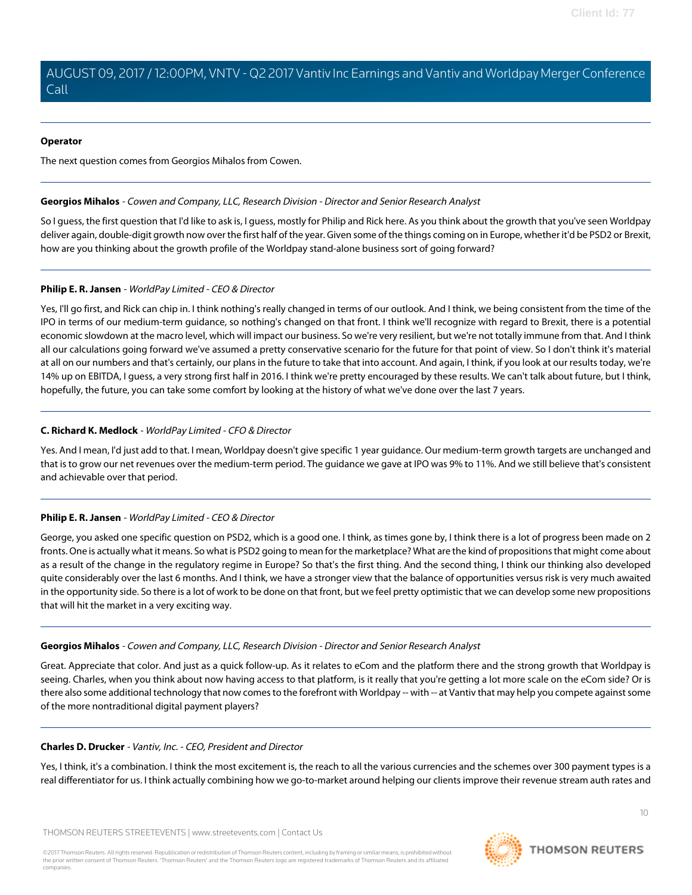# **Operator**

The next question comes from Georgios Mihalos from Cowen.

# <span id="page-9-0"></span>**Georgios Mihalos** - Cowen and Company, LLC, Research Division - Director and Senior Research Analyst

So I guess, the first question that I'd like to ask is, I guess, mostly for Philip and Rick here. As you think about the growth that you've seen Worldpay deliver again, double-digit growth now over the first half of the year. Given some of the things coming on in Europe, whether it'd be PSD2 or Brexit, how are you thinking about the growth profile of the Worldpay stand-alone business sort of going forward?

# **Philip E. R. Jansen** - WorldPay Limited - CEO & Director

Yes, I'll go first, and Rick can chip in. I think nothing's really changed in terms of our outlook. And I think, we being consistent from the time of the IPO in terms of our medium-term guidance, so nothing's changed on that front. I think we'll recognize with regard to Brexit, there is a potential economic slowdown at the macro level, which will impact our business. So we're very resilient, but we're not totally immune from that. And I think all our calculations going forward we've assumed a pretty conservative scenario for the future for that point of view. So I don't think it's material at all on our numbers and that's certainly, our plans in the future to take that into account. And again, I think, if you look at our results today, we're 14% up on EBITDA, I guess, a very strong first half in 2016. I think we're pretty encouraged by these results. We can't talk about future, but I think, hopefully, the future, you can take some comfort by looking at the history of what we've done over the last 7 years.

# **C. Richard K. Medlock** - WorldPay Limited - CFO & Director

Yes. And I mean, I'd just add to that. I mean, Worldpay doesn't give specific 1 year guidance. Our medium-term growth targets are unchanged and that is to grow our net revenues over the medium-term period. The guidance we gave at IPO was 9% to 11%. And we still believe that's consistent and achievable over that period.

# **Philip E. R. Jansen** - WorldPay Limited - CEO & Director

George, you asked one specific question on PSD2, which is a good one. I think, as times gone by, I think there is a lot of progress been made on 2 fronts. One is actually what it means. So what is PSD2 going to mean for the marketplace? What are the kind of propositions that might come about as a result of the change in the regulatory regime in Europe? So that's the first thing. And the second thing, I think our thinking also developed quite considerably over the last 6 months. And I think, we have a stronger view that the balance of opportunities versus risk is very much awaited in the opportunity side. So there is a lot of work to be done on that front, but we feel pretty optimistic that we can develop some new propositions that will hit the market in a very exciting way.

# **Georgios Mihalos** - Cowen and Company, LLC, Research Division - Director and Senior Research Analyst

Great. Appreciate that color. And just as a quick follow-up. As it relates to eCom and the platform there and the strong growth that Worldpay is seeing. Charles, when you think about now having access to that platform, is it really that you're getting a lot more scale on the eCom side? Or is there also some additional technology that now comes to the forefront with Worldpay -- with -- at Vantiv that may help you compete against some of the more nontraditional digital payment players?

# **Charles D. Drucker** - Vantiv, Inc. - CEO, President and Director

Yes, I think, it's a combination. I think the most excitement is, the reach to all the various currencies and the schemes over 300 payment types is a real differentiator for us. I think actually combining how we go-to-market around helping our clients improve their revenue stream auth rates and

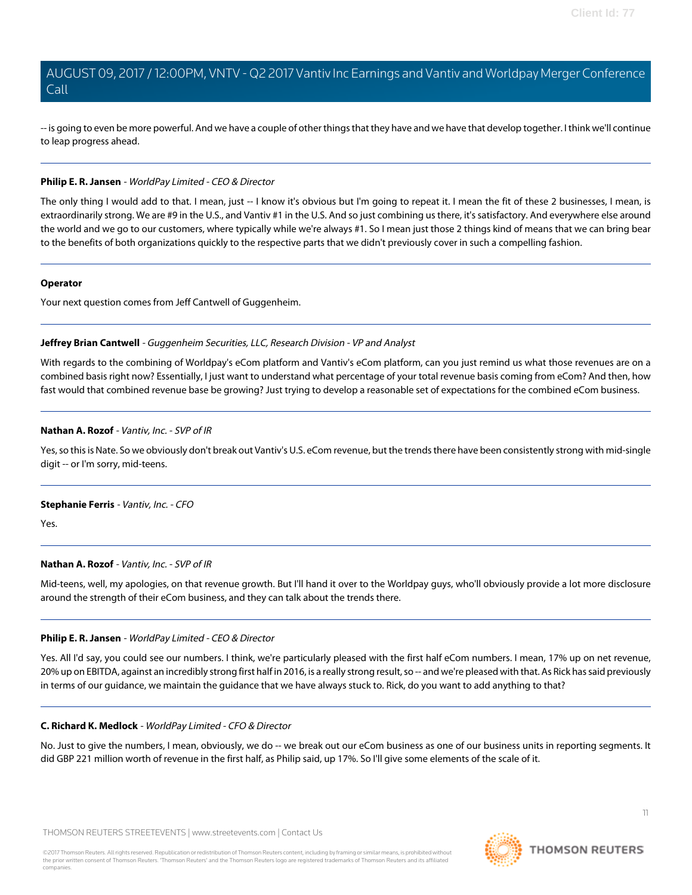-- is going to even be more powerful. And we have a couple of other things that they have and we have that develop together. I think we'll continue to leap progress ahead.

# **Philip E. R. Jansen** - WorldPay Limited - CEO & Director

The only thing I would add to that. I mean, just -- I know it's obvious but I'm going to repeat it. I mean the fit of these 2 businesses, I mean, is extraordinarily strong. We are #9 in the U.S., and Vantiv #1 in the U.S. And so just combining us there, it's satisfactory. And everywhere else around the world and we go to our customers, where typically while we're always #1. So I mean just those 2 things kind of means that we can bring bear to the benefits of both organizations quickly to the respective parts that we didn't previously cover in such a compelling fashion.

#### **Operator**

<span id="page-10-0"></span>Your next question comes from Jeff Cantwell of Guggenheim.

# **Jeffrey Brian Cantwell** - Guggenheim Securities, LLC, Research Division - VP and Analyst

With regards to the combining of Worldpay's eCom platform and Vantiv's eCom platform, can you just remind us what those revenues are on a combined basis right now? Essentially, I just want to understand what percentage of your total revenue basis coming from eCom? And then, how fast would that combined revenue base be growing? Just trying to develop a reasonable set of expectations for the combined eCom business.

# **Nathan A. Rozof** - Vantiv, Inc. - SVP of IR

Yes, so this is Nate. So we obviously don't break out Vantiv's U.S. eCom revenue, but the trends there have been consistently strong with mid-single digit -- or I'm sorry, mid-teens.

# **Stephanie Ferris** - Vantiv, Inc. - CFO

Yes.

# **Nathan A. Rozof** - Vantiv, Inc. - SVP of IR

Mid-teens, well, my apologies, on that revenue growth. But I'll hand it over to the Worldpay guys, who'll obviously provide a lot more disclosure around the strength of their eCom business, and they can talk about the trends there.

# **Philip E. R. Jansen** - WorldPay Limited - CEO & Director

Yes. All I'd say, you could see our numbers. I think, we're particularly pleased with the first half eCom numbers. I mean, 17% up on net revenue, 20% up on EBITDA, against an incredibly strong first half in 2016, is a really strong result, so -- and we're pleased with that. As Rick has said previously in terms of our guidance, we maintain the guidance that we have always stuck to. Rick, do you want to add anything to that?

# **C. Richard K. Medlock** - WorldPay Limited - CFO & Director

No. Just to give the numbers, I mean, obviously, we do -- we break out our eCom business as one of our business units in reporting segments. It did GBP 221 million worth of revenue in the first half, as Philip said, up 17%. So I'll give some elements of the scale of it.

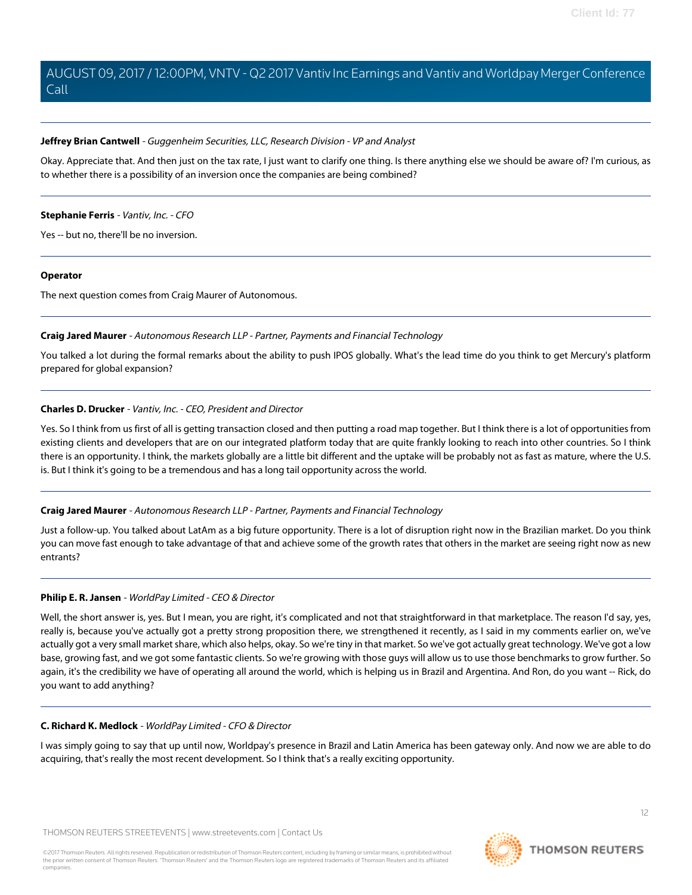# **Jeffrey Brian Cantwell** - Guggenheim Securities, LLC, Research Division - VP and Analyst

Okay. Appreciate that. And then just on the tax rate, I just want to clarify one thing. Is there anything else we should be aware of? I'm curious, as to whether there is a possibility of an inversion once the companies are being combined?

# **Stephanie Ferris** - Vantiv, Inc. - CFO

Yes -- but no, there'll be no inversion.

#### **Operator**

<span id="page-11-0"></span>The next question comes from Craig Maurer of Autonomous.

# **Craig Jared Maurer** - Autonomous Research LLP - Partner, Payments and Financial Technology

You talked a lot during the formal remarks about the ability to push IPOS globally. What's the lead time do you think to get Mercury's platform prepared for global expansion?

# **Charles D. Drucker** - Vantiv, Inc. - CEO, President and Director

Yes. So I think from us first of all is getting transaction closed and then putting a road map together. But I think there is a lot of opportunities from existing clients and developers that are on our integrated platform today that are quite frankly looking to reach into other countries. So I think there is an opportunity. I think, the markets globally are a little bit different and the uptake will be probably not as fast as mature, where the U.S. is. But I think it's going to be a tremendous and has a long tail opportunity across the world.

# **Craig Jared Maurer** - Autonomous Research LLP - Partner, Payments and Financial Technology

Just a follow-up. You talked about LatAm as a big future opportunity. There is a lot of disruption right now in the Brazilian market. Do you think you can move fast enough to take advantage of that and achieve some of the growth rates that others in the market are seeing right now as new entrants?

# **Philip E. R. Jansen** - WorldPay Limited - CEO & Director

Well, the short answer is, yes. But I mean, you are right, it's complicated and not that straightforward in that marketplace. The reason I'd say, yes, really is, because you've actually got a pretty strong proposition there, we strengthened it recently, as I said in my comments earlier on, we've actually got a very small market share, which also helps, okay. So we're tiny in that market. So we've got actually great technology. We've got a low base, growing fast, and we got some fantastic clients. So we're growing with those guys will allow us to use those benchmarks to grow further. So again, it's the credibility we have of operating all around the world, which is helping us in Brazil and Argentina. And Ron, do you want -- Rick, do you want to add anything?

# **C. Richard K. Medlock** - WorldPay Limited - CFO & Director

I was simply going to say that up until now, Worldpay's presence in Brazil and Latin America has been gateway only. And now we are able to do acquiring, that's really the most recent development. So I think that's a really exciting opportunity.

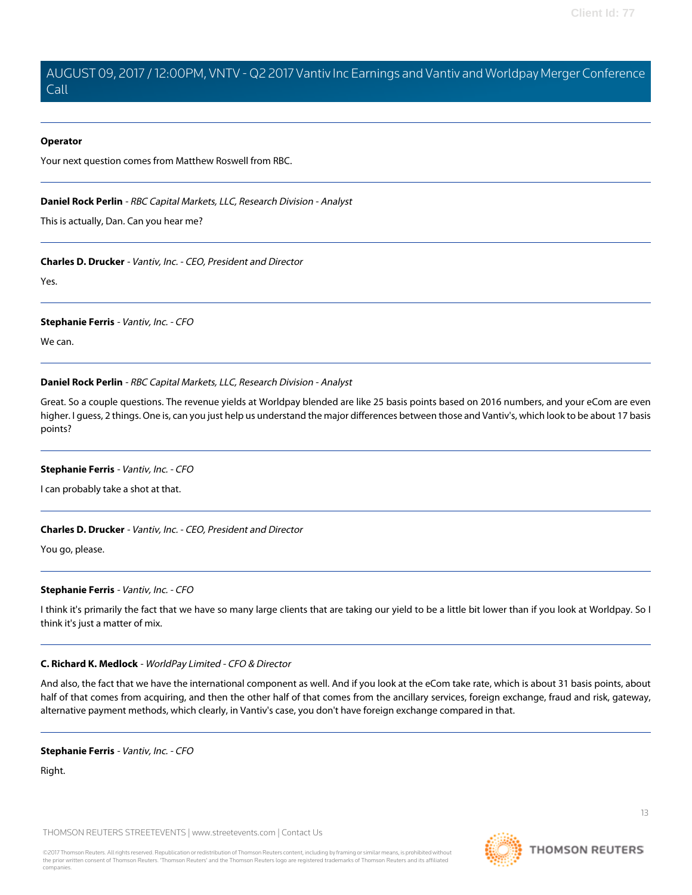#### **Operator**

<span id="page-12-0"></span>Your next question comes from Matthew Roswell from RBC.

#### **Daniel Rock Perlin** - RBC Capital Markets, LLC, Research Division - Analyst

This is actually, Dan. Can you hear me?

#### **Charles D. Drucker** - Vantiv, Inc. - CEO, President and Director

Yes.

#### **Stephanie Ferris** - Vantiv, Inc. - CFO

We can.

#### **Daniel Rock Perlin** - RBC Capital Markets, LLC, Research Division - Analyst

Great. So a couple questions. The revenue yields at Worldpay blended are like 25 basis points based on 2016 numbers, and your eCom are even higher. I guess, 2 things. One is, can you just help us understand the major differences between those and Vantiv's, which look to be about 17 basis points?

#### **Stephanie Ferris** - Vantiv, Inc. - CFO

I can probably take a shot at that.

# **Charles D. Drucker** - Vantiv, Inc. - CEO, President and Director

You go, please.

# **Stephanie Ferris** - Vantiv, Inc. - CFO

I think it's primarily the fact that we have so many large clients that are taking our yield to be a little bit lower than if you look at Worldpay. So I think it's just a matter of mix.

# **C. Richard K. Medlock** - WorldPay Limited - CFO & Director

And also, the fact that we have the international component as well. And if you look at the eCom take rate, which is about 31 basis points, about half of that comes from acquiring, and then the other half of that comes from the ancillary services, foreign exchange, fraud and risk, gateway, alternative payment methods, which clearly, in Vantiv's case, you don't have foreign exchange compared in that.

#### **Stephanie Ferris** - Vantiv, Inc. - CFO

Right.

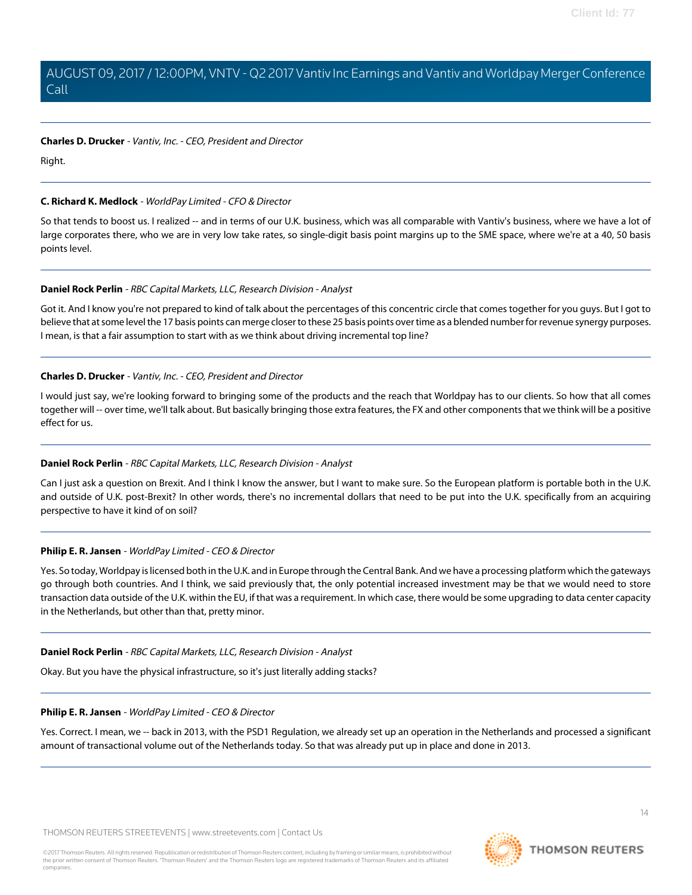# **Charles D. Drucker** - Vantiv, Inc. - CEO, President and Director

Right.

# **C. Richard K. Medlock** - WorldPay Limited - CFO & Director

So that tends to boost us. I realized -- and in terms of our U.K. business, which was all comparable with Vantiv's business, where we have a lot of large corporates there, who we are in very low take rates, so single-digit basis point margins up to the SME space, where we're at a 40, 50 basis points level.

# **Daniel Rock Perlin** - RBC Capital Markets, LLC, Research Division - Analyst

Got it. And I know you're not prepared to kind of talk about the percentages of this concentric circle that comes together for you guys. But I got to believe that at some level the 17 basis points can merge closer to these 25 basis points over time as a blended number for revenue synergy purposes. I mean, is that a fair assumption to start with as we think about driving incremental top line?

# **Charles D. Drucker** - Vantiv, Inc. - CEO, President and Director

I would just say, we're looking forward to bringing some of the products and the reach that Worldpay has to our clients. So how that all comes together will -- over time, we'll talk about. But basically bringing those extra features, the FX and other components that we think will be a positive effect for us.

# **Daniel Rock Perlin** - RBC Capital Markets, LLC, Research Division - Analyst

Can I just ask a question on Brexit. And I think I know the answer, but I want to make sure. So the European platform is portable both in the U.K. and outside of U.K. post-Brexit? In other words, there's no incremental dollars that need to be put into the U.K. specifically from an acquiring perspective to have it kind of on soil?

# **Philip E. R. Jansen** - WorldPay Limited - CEO & Director

Yes. So today, Worldpay is licensed both in the U.K. and in Europe through the Central Bank. And we have a processing platform which the gateways go through both countries. And I think, we said previously that, the only potential increased investment may be that we would need to store transaction data outside of the U.K. within the EU, if that was a requirement. In which case, there would be some upgrading to data center capacity in the Netherlands, but other than that, pretty minor.

# **Daniel Rock Perlin** - RBC Capital Markets, LLC, Research Division - Analyst

Okay. But you have the physical infrastructure, so it's just literally adding stacks?

# **Philip E. R. Jansen** - WorldPay Limited - CEO & Director

Yes. Correct. I mean, we -- back in 2013, with the PSD1 Regulation, we already set up an operation in the Netherlands and processed a significant amount of transactional volume out of the Netherlands today. So that was already put up in place and done in 2013.

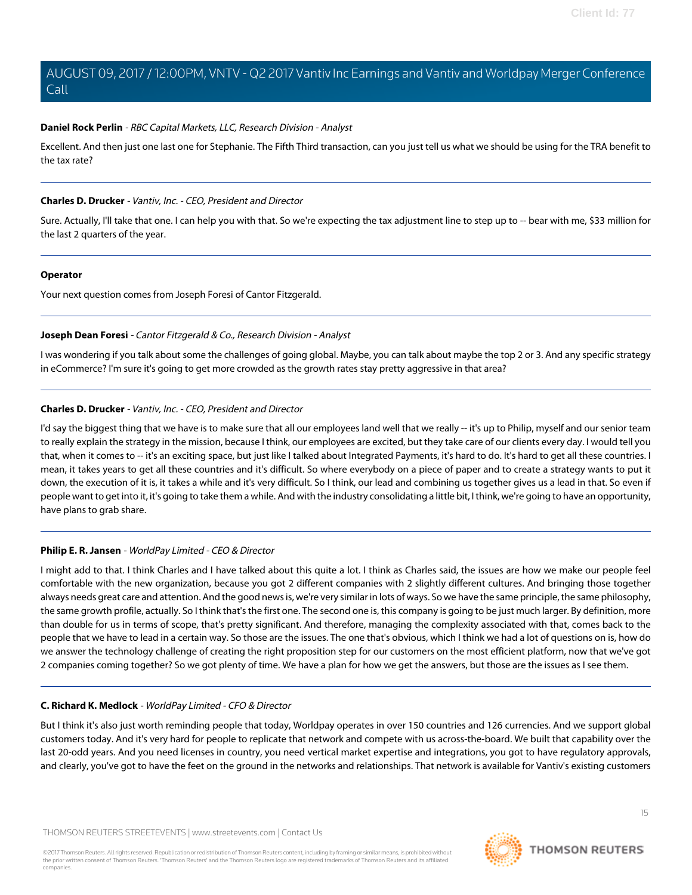# **Daniel Rock Perlin** - RBC Capital Markets, LLC, Research Division - Analyst

Excellent. And then just one last one for Stephanie. The Fifth Third transaction, can you just tell us what we should be using for the TRA benefit to the tax rate?

# **Charles D. Drucker** - Vantiv, Inc. - CEO, President and Director

Sure. Actually, I'll take that one. I can help you with that. So we're expecting the tax adjustment line to step up to -- bear with me, \$33 million for the last 2 quarters of the year.

# **Operator**

<span id="page-14-0"></span>Your next question comes from Joseph Foresi of Cantor Fitzgerald.

# **Joseph Dean Foresi** - Cantor Fitzgerald & Co., Research Division - Analyst

I was wondering if you talk about some the challenges of going global. Maybe, you can talk about maybe the top 2 or 3. And any specific strategy in eCommerce? I'm sure it's going to get more crowded as the growth rates stay pretty aggressive in that area?

# **Charles D. Drucker** - Vantiv, Inc. - CEO, President and Director

I'd say the biggest thing that we have is to make sure that all our employees land well that we really -- it's up to Philip, myself and our senior team to really explain the strategy in the mission, because I think, our employees are excited, but they take care of our clients every day. I would tell you that, when it comes to -- it's an exciting space, but just like I talked about Integrated Payments, it's hard to do. It's hard to get all these countries. I mean, it takes years to get all these countries and it's difficult. So where everybody on a piece of paper and to create a strategy wants to put it down, the execution of it is, it takes a while and it's very difficult. So I think, our lead and combining us together gives us a lead in that. So even if people want to get into it, it's going to take them a while. And with the industry consolidating a little bit, I think, we're going to have an opportunity, have plans to grab share.

# **Philip E. R. Jansen** - WorldPay Limited - CEO & Director

I might add to that. I think Charles and I have talked about this quite a lot. I think as Charles said, the issues are how we make our people feel comfortable with the new organization, because you got 2 different companies with 2 slightly different cultures. And bringing those together always needs great care and attention. And the good news is, we're very similar in lots of ways. So we have the same principle, the same philosophy, the same growth profile, actually. So I think that's the first one. The second one is, this company is going to be just much larger. By definition, more than double for us in terms of scope, that's pretty significant. And therefore, managing the complexity associated with that, comes back to the people that we have to lead in a certain way. So those are the issues. The one that's obvious, which I think we had a lot of questions on is, how do we answer the technology challenge of creating the right proposition step for our customers on the most efficient platform, now that we've got 2 companies coming together? So we got plenty of time. We have a plan for how we get the answers, but those are the issues as I see them.

# **C. Richard K. Medlock** - WorldPay Limited - CFO & Director

But I think it's also just worth reminding people that today, Worldpay operates in over 150 countries and 126 currencies. And we support global customers today. And it's very hard for people to replicate that network and compete with us across-the-board. We built that capability over the last 20-odd years. And you need licenses in country, you need vertical market expertise and integrations, you got to have regulatory approvals, and clearly, you've got to have the feet on the ground in the networks and relationships. That network is available for Vantiv's existing customers

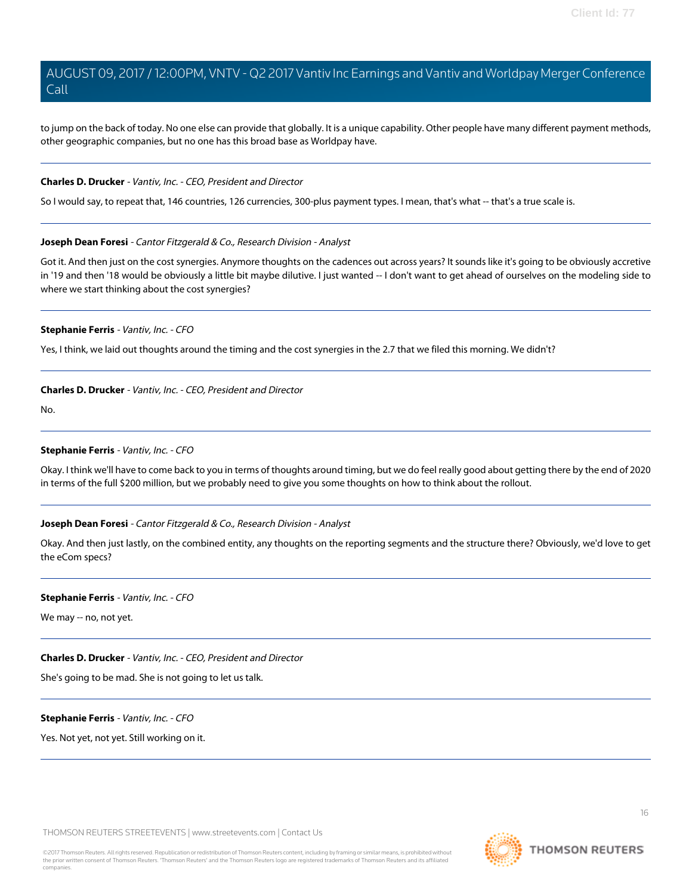to jump on the back of today. No one else can provide that globally. It is a unique capability. Other people have many different payment methods, other geographic companies, but no one has this broad base as Worldpay have.

#### **Charles D. Drucker** - Vantiv, Inc. - CEO, President and Director

So I would say, to repeat that, 146 countries, 126 currencies, 300-plus payment types. I mean, that's what -- that's a true scale is.

#### **Joseph Dean Foresi** - Cantor Fitzgerald & Co., Research Division - Analyst

Got it. And then just on the cost synergies. Anymore thoughts on the cadences out across years? It sounds like it's going to be obviously accretive in '19 and then '18 would be obviously a little bit maybe dilutive. I just wanted -- I don't want to get ahead of ourselves on the modeling side to where we start thinking about the cost synergies?

# **Stephanie Ferris** - Vantiv, Inc. - CFO

Yes, I think, we laid out thoughts around the timing and the cost synergies in the 2.7 that we filed this morning. We didn't?

# **Charles D. Drucker** - Vantiv, Inc. - CEO, President and Director

No.

#### **Stephanie Ferris** - Vantiv, Inc. - CFO

Okay. I think we'll have to come back to you in terms of thoughts around timing, but we do feel really good about getting there by the end of 2020 in terms of the full \$200 million, but we probably need to give you some thoughts on how to think about the rollout.

# **Joseph Dean Foresi** - Cantor Fitzgerald & Co., Research Division - Analyst

Okay. And then just lastly, on the combined entity, any thoughts on the reporting segments and the structure there? Obviously, we'd love to get the eCom specs?

#### **Stephanie Ferris** - Vantiv, Inc. - CFO

We may -- no, not yet.

# **Charles D. Drucker** - Vantiv, Inc. - CEO, President and Director

She's going to be mad. She is not going to let us talk.

#### **Stephanie Ferris** - Vantiv, Inc. - CFO

Yes. Not yet, not yet. Still working on it.

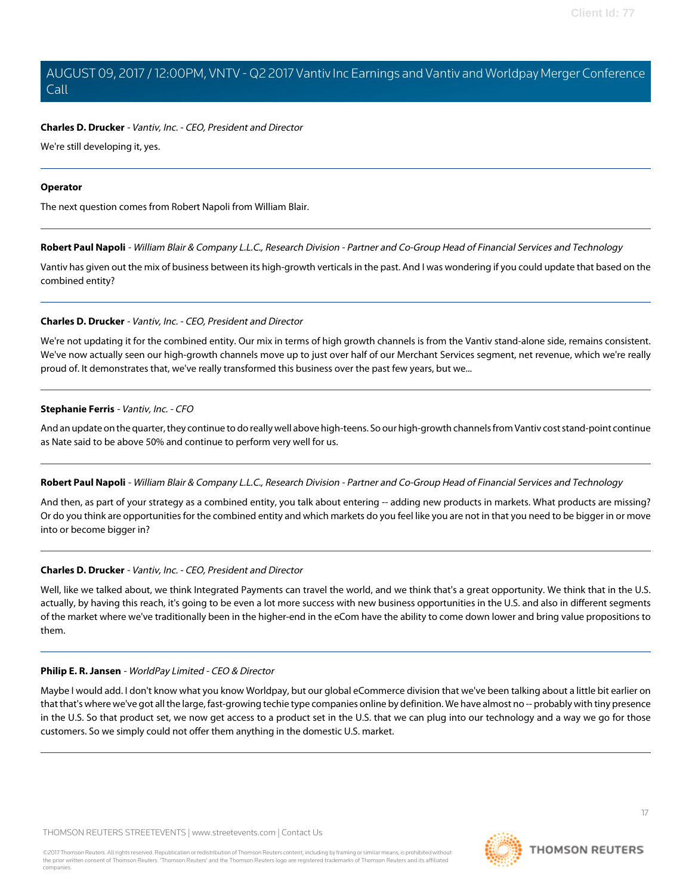# **Charles D. Drucker** - Vantiv, Inc. - CEO, President and Director

We're still developing it, yes.

#### **Operator**

<span id="page-16-0"></span>The next question comes from Robert Napoli from William Blair.

**Robert Paul Napoli** - William Blair & Company L.L.C., Research Division - Partner and Co-Group Head of Financial Services and Technology

Vantiv has given out the mix of business between its high-growth verticals in the past. And I was wondering if you could update that based on the combined entity?

# **Charles D. Drucker** - Vantiv, Inc. - CEO, President and Director

We're not updating it for the combined entity. Our mix in terms of high growth channels is from the Vantiv stand-alone side, remains consistent. We've now actually seen our high-growth channels move up to just over half of our Merchant Services segment, net revenue, which we're really proud of. It demonstrates that, we've really transformed this business over the past few years, but we...

# **Stephanie Ferris** - Vantiv, Inc. - CFO

And an update on the quarter, they continue to do really well above high-teens. So our high-growth channels from Vantiv cost stand-point continue as Nate said to be above 50% and continue to perform very well for us.

# **Robert Paul Napoli** - William Blair & Company L.L.C., Research Division - Partner and Co-Group Head of Financial Services and Technology

And then, as part of your strategy as a combined entity, you talk about entering -- adding new products in markets. What products are missing? Or do you think are opportunities for the combined entity and which markets do you feel like you are not in that you need to be bigger in or move into or become bigger in?

# **Charles D. Drucker** - Vantiv, Inc. - CEO, President and Director

Well, like we talked about, we think Integrated Payments can travel the world, and we think that's a great opportunity. We think that in the U.S. actually, by having this reach, it's going to be even a lot more success with new business opportunities in the U.S. and also in different segments of the market where we've traditionally been in the higher-end in the eCom have the ability to come down lower and bring value propositions to them.

# **Philip E. R. Jansen** - WorldPay Limited - CEO & Director

Maybe I would add. I don't know what you know Worldpay, but our global eCommerce division that we've been talking about a little bit earlier on that that's where we've got all the large, fast-growing techie type companies online by definition. We have almost no -- probably with tiny presence in the U.S. So that product set, we now get access to a product set in the U.S. that we can plug into our technology and a way we go for those customers. So we simply could not offer them anything in the domestic U.S. market.



**THOMSON REUTERS** 

17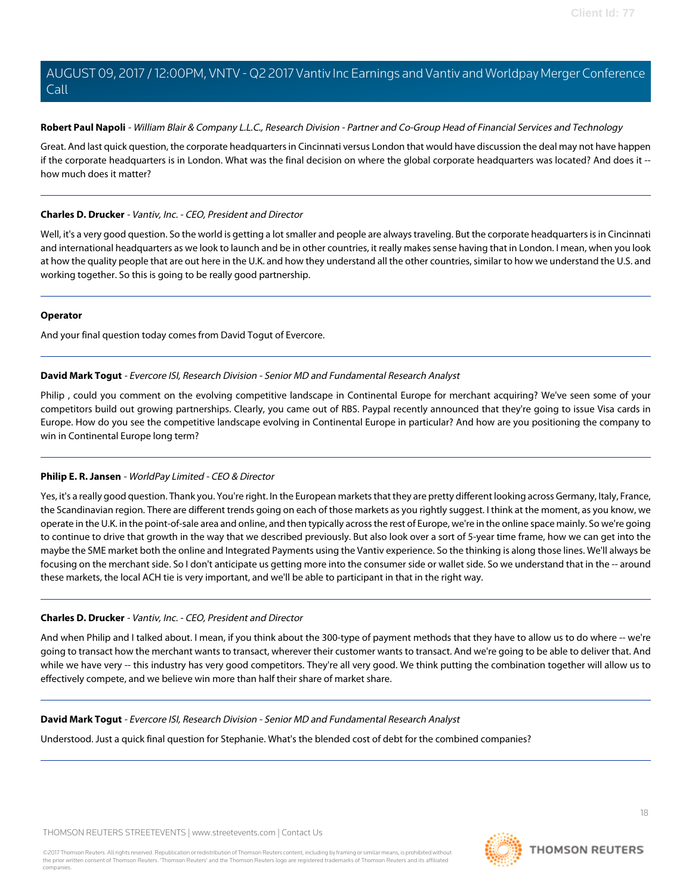# **Robert Paul Napoli** - William Blair & Company L.L.C., Research Division - Partner and Co-Group Head of Financial Services and Technology

Great. And last quick question, the corporate headquarters in Cincinnati versus London that would have discussion the deal may not have happen if the corporate headquarters is in London. What was the final decision on where the global corporate headquarters was located? And does it -how much does it matter?

# **Charles D. Drucker** - Vantiv, Inc. - CEO, President and Director

Well, it's a very good question. So the world is getting a lot smaller and people are always traveling. But the corporate headquarters is in Cincinnati and international headquarters as we look to launch and be in other countries, it really makes sense having that in London. I mean, when you look at how the quality people that are out here in the U.K. and how they understand all the other countries, similar to how we understand the U.S. and working together. So this is going to be really good partnership.

# **Operator**

<span id="page-17-0"></span>And your final question today comes from David Togut of Evercore.

# **David Mark Togut** - Evercore ISI, Research Division - Senior MD and Fundamental Research Analyst

Philip , could you comment on the evolving competitive landscape in Continental Europe for merchant acquiring? We've seen some of your competitors build out growing partnerships. Clearly, you came out of RBS. Paypal recently announced that they're going to issue Visa cards in Europe. How do you see the competitive landscape evolving in Continental Europe in particular? And how are you positioning the company to win in Continental Europe long term?

# **Philip E. R. Jansen** - WorldPay Limited - CEO & Director

Yes, it's a really good question. Thank you. You're right. In the European markets that they are pretty different looking across Germany, Italy, France, the Scandinavian region. There are different trends going on each of those markets as you rightly suggest. I think at the moment, as you know, we operate in the U.K. in the point-of-sale area and online, and then typically across the rest of Europe, we're in the online space mainly. So we're going to continue to drive that growth in the way that we described previously. But also look over a sort of 5-year time frame, how we can get into the maybe the SME market both the online and Integrated Payments using the Vantiv experience. So the thinking is along those lines. We'll always be focusing on the merchant side. So I don't anticipate us getting more into the consumer side or wallet side. So we understand that in the -- around these markets, the local ACH tie is very important, and we'll be able to participant in that in the right way.

# **Charles D. Drucker** - Vantiv, Inc. - CEO, President and Director

And when Philip and I talked about. I mean, if you think about the 300-type of payment methods that they have to allow us to do where -- we're going to transact how the merchant wants to transact, wherever their customer wants to transact. And we're going to be able to deliver that. And while we have very -- this industry has very good competitors. They're all very good. We think putting the combination together will allow us to effectively compete, and we believe win more than half their share of market share.

# **David Mark Togut** - Evercore ISI, Research Division - Senior MD and Fundamental Research Analyst

Understood. Just a quick final question for Stephanie. What's the blended cost of debt for the combined companies?



**THOMSON REUTERS**